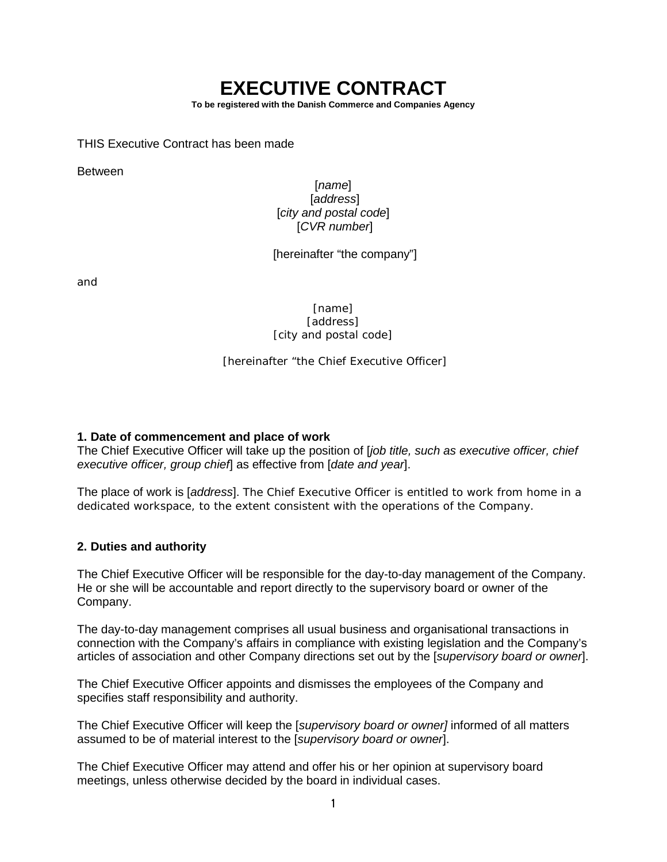# **EXECUTIVE CONTRACT**

**To be registered with the Danish Commerce and Companies Agency**

THIS Executive Contract has been made

Between

# [*name*] [*address*] [*city and postal code*] [*CVR number*]

[hereinafter "the company"]

and

[*name*] [*address*] [*city and postal code*]

[hereinafter "the Chief Executive Officer]

## **1. Date of commencement and place of work**

The Chief Executive Officer will take up the position of [*job title, such as executive officer, chief executive officer, group chief*] as effective from [*date and year*].

The place of work is [*address*]. The Chief Executive Officer is entitled to work from home in a dedicated workspace, to the extent consistent with the operations of the Company.

# **2. Duties and authority**

The Chief Executive Officer will be responsible for the day-to-day management of the Company. He or she will be accountable and report directly to the supervisory board or owner of the Company.

The day-to-day management comprises all usual business and organisational transactions in connection with the Company's affairs in compliance with existing legislation and the Company's articles of association and other Company directions set out by the [*supervisory board or owner*].

The Chief Executive Officer appoints and dismisses the employees of the Company and specifies staff responsibility and authority.

The Chief Executive Officer will keep the [*supervisory board or owner]* informed of all matters assumed to be of material interest to the [*supervisory board or owner*].

The Chief Executive Officer may attend and offer his or her opinion at supervisory board meetings, unless otherwise decided by the board in individual cases.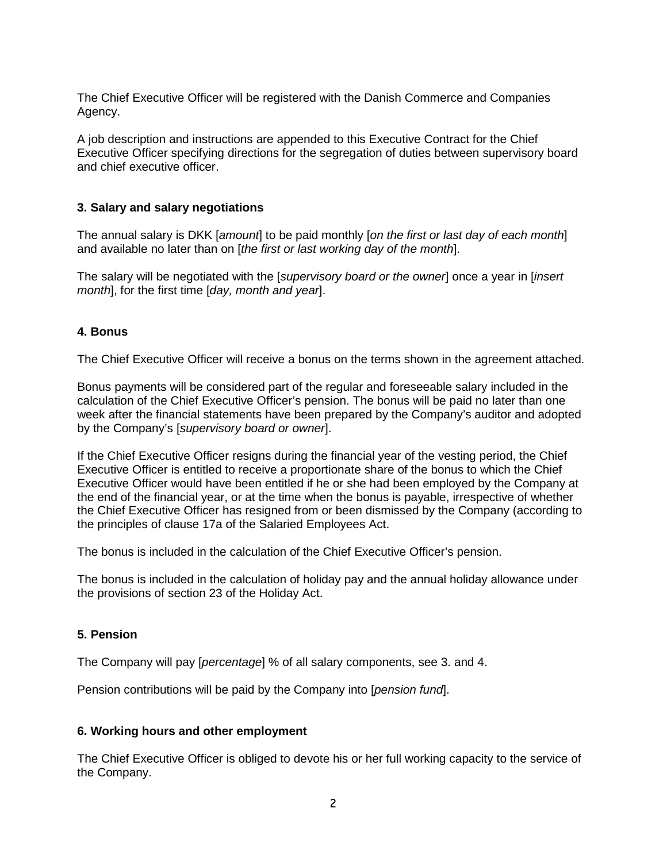The Chief Executive Officer will be registered with the Danish Commerce and Companies Agency.

A job description and instructions are appended to this Executive Contract for the Chief Executive Officer specifying directions for the segregation of duties between supervisory board and chief executive officer.

# **3. Salary and salary negotiations**

The annual salary is DKK [*amount*] to be paid monthly [*on the first or last day of each month*] and available no later than on [*the first or last working day of the month*].

The salary will be negotiated with the [*supervisory board or the owner*] once a year in [*insert month*], for the first time [*day, month and year*].

#### **4. Bonus**

The Chief Executive Officer will receive a bonus on the terms shown in the agreement attached.

Bonus payments will be considered part of the regular and foreseeable salary included in the calculation of the Chief Executive Officer's pension. The bonus will be paid no later than one week after the financial statements have been prepared by the Company's auditor and adopted by the Company's [*supervisory board or owner*].

If the Chief Executive Officer resigns during the financial year of the vesting period, the Chief Executive Officer is entitled to receive a proportionate share of the bonus to which the Chief Executive Officer would have been entitled if he or she had been employed by the Company at the end of the financial year, or at the time when the bonus is payable, irrespective of whether the Chief Executive Officer has resigned from or been dismissed by the Company (according to the principles of clause 17a of the Salaried Employees Act.

The bonus is included in the calculation of the Chief Executive Officer's pension.

The bonus is included in the calculation of holiday pay and the annual holiday allowance under the provisions of section 23 of the Holiday Act.

#### **5. Pension**

The Company will pay [*percentage*] % of all salary components, see 3. and 4.

Pension contributions will be paid by the Company into [*pension fund*].

#### **6. Working hours and other employment**

The Chief Executive Officer is obliged to devote his or her full working capacity to the service of the Company.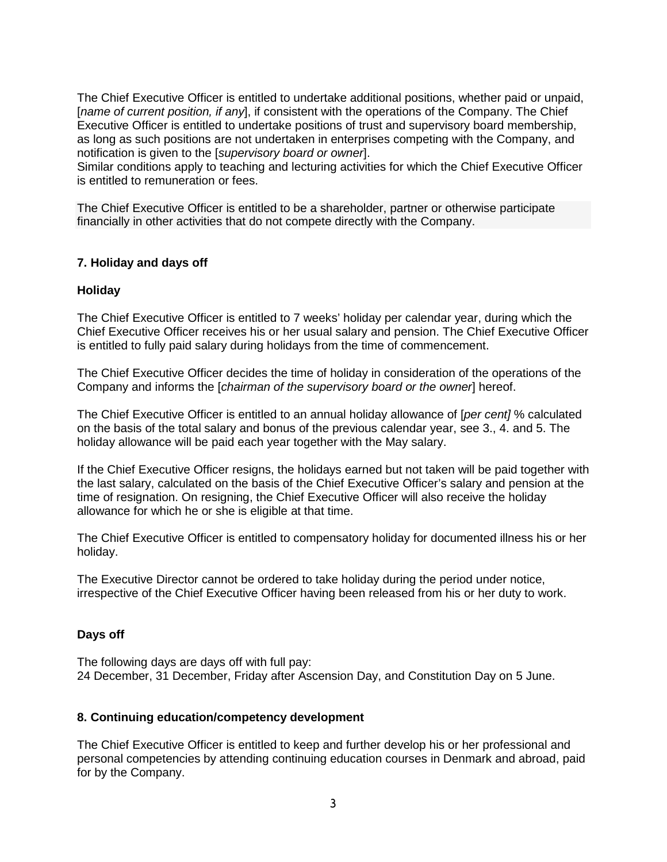The Chief Executive Officer is entitled to undertake additional positions, whether paid or unpaid, [*name of current position, if any*], if consistent with the operations of the Company. The Chief Executive Officer is entitled to undertake positions of trust and supervisory board membership, as long as such positions are not undertaken in enterprises competing with the Company, and notification is given to the [*supervisory board or owner*].

Similar conditions apply to teaching and lecturing activities for which the Chief Executive Officer is entitled to remuneration or fees.

The Chief Executive Officer is entitled to be a shareholder, partner or otherwise participate financially in other activities that do not compete directly with the Company.

## **7. Holiday and days off**

## **Holiday**

The Chief Executive Officer is entitled to 7 weeks' holiday per calendar year, during which the Chief Executive Officer receives his or her usual salary and pension. The Chief Executive Officer is entitled to fully paid salary during holidays from the time of commencement.

The Chief Executive Officer decides the time of holiday in consideration of the operations of the Company and informs the [*chairman of the supervisory board or the owner*] hereof.

The Chief Executive Officer is entitled to an annual holiday allowance of [*per cent]* % calculated on the basis of the total salary and bonus of the previous calendar year, see 3., 4. and 5. The holiday allowance will be paid each year together with the May salary.

If the Chief Executive Officer resigns, the holidays earned but not taken will be paid together with the last salary, calculated on the basis of the Chief Executive Officer's salary and pension at the time of resignation. On resigning, the Chief Executive Officer will also receive the holiday allowance for which he or she is eligible at that time.

The Chief Executive Officer is entitled to compensatory holiday for documented illness his or her holiday.

The Executive Director cannot be ordered to take holiday during the period under notice, irrespective of the Chief Executive Officer having been released from his or her duty to work.

#### **Days off**

The following days are days off with full pay: 24 December, 31 December, Friday after Ascension Day, and Constitution Day on 5 June.

#### **8. Continuing education/competency development**

The Chief Executive Officer is entitled to keep and further develop his or her professional and personal competencies by attending continuing education courses in Denmark and abroad, paid for by the Company.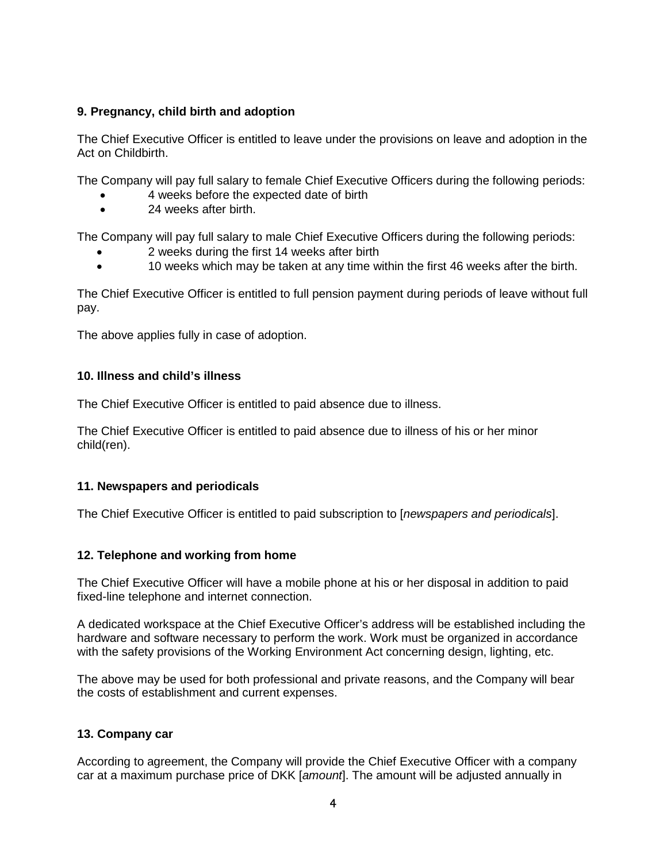# **9. Pregnancy, child birth and adoption**

The Chief Executive Officer is entitled to leave under the provisions on leave and adoption in the Act on Childbirth.

The Company will pay full salary to female Chief Executive Officers during the following periods:

- 4 weeks before the expected date of birth
- 24 weeks after birth.

The Company will pay full salary to male Chief Executive Officers during the following periods:

- 2 weeks during the first 14 weeks after birth
- 10 weeks which may be taken at any time within the first 46 weeks after the birth.

The Chief Executive Officer is entitled to full pension payment during periods of leave without full pay.

The above applies fully in case of adoption.

# **10. Illness and child's illness**

The Chief Executive Officer is entitled to paid absence due to illness.

The Chief Executive Officer is entitled to paid absence due to illness of his or her minor child(ren).

# **11. Newspapers and periodicals**

The Chief Executive Officer is entitled to paid subscription to [*newspapers and periodicals*].

# **12. Telephone and working from home**

The Chief Executive Officer will have a mobile phone at his or her disposal in addition to paid fixed-line telephone and internet connection.

A dedicated workspace at the Chief Executive Officer's address will be established including the hardware and software necessary to perform the work. Work must be organized in accordance with the safety provisions of the Working Environment Act concerning design, lighting, etc.

The above may be used for both professional and private reasons, and the Company will bear the costs of establishment and current expenses.

# **13. Company car**

According to agreement, the Company will provide the Chief Executive Officer with a company car at a maximum purchase price of DKK [*amount*]. The amount will be adjusted annually in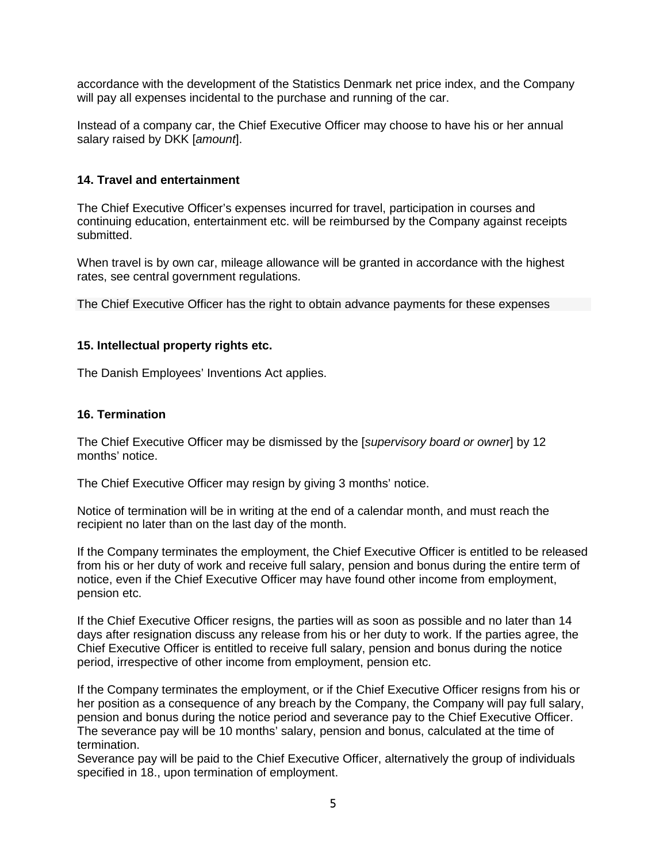accordance with the development of the Statistics Denmark net price index, and the Company will pay all expenses incidental to the purchase and running of the car.

Instead of a company car, the Chief Executive Officer may choose to have his or her annual salary raised by DKK [*amount*].

# **14. Travel and entertainment**

The Chief Executive Officer's expenses incurred for travel, participation in courses and continuing education, entertainment etc. will be reimbursed by the Company against receipts submitted.

When travel is by own car, mileage allowance will be granted in accordance with the highest rates, see central government regulations.

The Chief Executive Officer has the right to obtain advance payments for these expenses

## **15. Intellectual property rights etc.**

The Danish Employees' Inventions Act applies.

## **16. Termination**

The Chief Executive Officer may be dismissed by the [*supervisory board or owner*] by 12 months' notice.

The Chief Executive Officer may resign by giving 3 months' notice.

Notice of termination will be in writing at the end of a calendar month, and must reach the recipient no later than on the last day of the month.

If the Company terminates the employment, the Chief Executive Officer is entitled to be released from his or her duty of work and receive full salary, pension and bonus during the entire term of notice, even if the Chief Executive Officer may have found other income from employment, pension etc.

If the Chief Executive Officer resigns, the parties will as soon as possible and no later than 14 days after resignation discuss any release from his or her duty to work. If the parties agree, the Chief Executive Officer is entitled to receive full salary, pension and bonus during the notice period, irrespective of other income from employment, pension etc.

If the Company terminates the employment, or if the Chief Executive Officer resigns from his or her position as a consequence of any breach by the Company, the Company will pay full salary, pension and bonus during the notice period and severance pay to the Chief Executive Officer. The severance pay will be 10 months' salary, pension and bonus, calculated at the time of termination.

Severance pay will be paid to the Chief Executive Officer, alternatively the group of individuals specified in 18., upon termination of employment.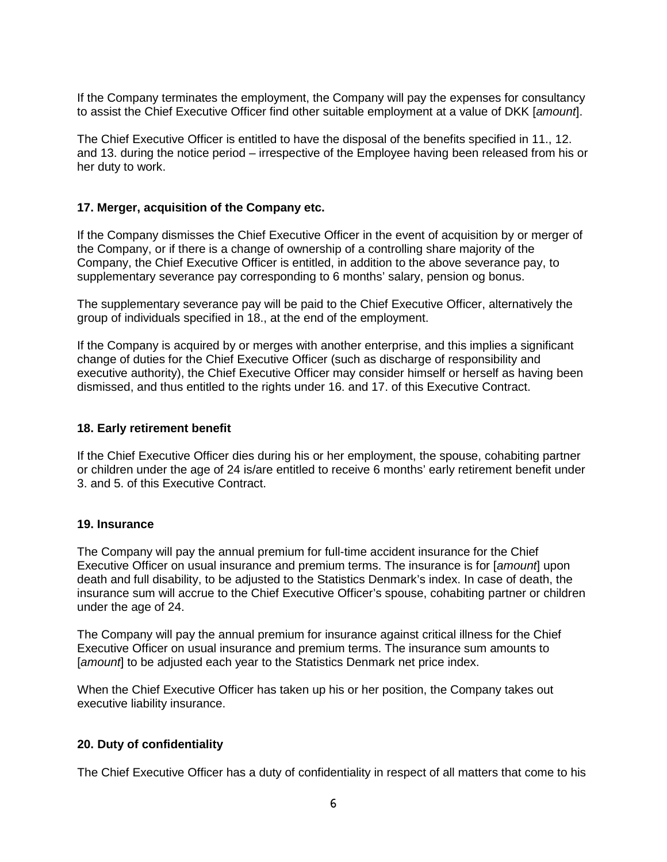If the Company terminates the employment, the Company will pay the expenses for consultancy to assist the Chief Executive Officer find other suitable employment at a value of DKK [*amount*].

The Chief Executive Officer is entitled to have the disposal of the benefits specified in 11., 12. and 13. during the notice period – irrespective of the Employee having been released from his or her duty to work.

## **17. Merger, acquisition of the Company etc.**

If the Company dismisses the Chief Executive Officer in the event of acquisition by or merger of the Company, or if there is a change of ownership of a controlling share majority of the Company, the Chief Executive Officer is entitled, in addition to the above severance pay, to supplementary severance pay corresponding to 6 months' salary, pension og bonus.

The supplementary severance pay will be paid to the Chief Executive Officer, alternatively the group of individuals specified in 18., at the end of the employment.

If the Company is acquired by or merges with another enterprise, and this implies a significant change of duties for the Chief Executive Officer (such as discharge of responsibility and executive authority), the Chief Executive Officer may consider himself or herself as having been dismissed, and thus entitled to the rights under 16. and 17. of this Executive Contract.

#### **18. Early retirement benefit**

If the Chief Executive Officer dies during his or her employment, the spouse, cohabiting partner or children under the age of 24 is/are entitled to receive 6 months' early retirement benefit under 3. and 5. of this Executive Contract.

#### **19. Insurance**

The Company will pay the annual premium for full-time accident insurance for the Chief Executive Officer on usual insurance and premium terms. The insurance is for [*amount*] upon death and full disability, to be adjusted to the Statistics Denmark's index. In case of death, the insurance sum will accrue to the Chief Executive Officer's spouse, cohabiting partner or children under the age of 24.

The Company will pay the annual premium for insurance against critical illness for the Chief Executive Officer on usual insurance and premium terms. The insurance sum amounts to [*amount*] to be adjusted each year to the Statistics Denmark net price index.

When the Chief Executive Officer has taken up his or her position, the Company takes out executive liability insurance.

# **20. Duty of confidentiality**

The Chief Executive Officer has a duty of confidentiality in respect of all matters that come to his